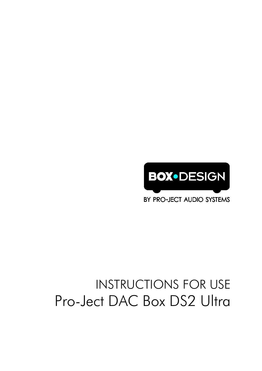

BY PRO-JECT AUDIO SYSTEMS

# INSTRUCTIONS FOR USE Pro-Ject DAC Box DS2 Ultra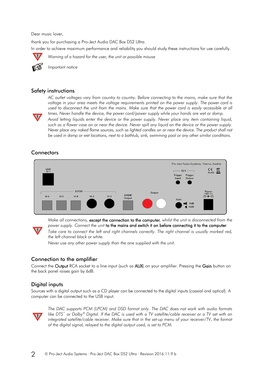Dear music lover,

thank you for purchasing a Pro-Ject Audio DAC Box DS2 Ultra. In order to achieve maximum performance and reliability you should study these instructions for use carefully.



*Warning of a hazard for the user, the unit or possible misuse*



*Important notice*

## Safety instructions

*AC outlet voltages vary from country to country. Before connecting to the mains, make sure that the voltage in your area meets the voltage requirements printed on the power supply. The power cord is*  used to disconnect the unit from the mains. Make sure that the power cord is easily accessible at all *times. Never handle the device, the power cord/power supply while your hands are wet or damp.*



*Avoid letting liquids enter the device or the power supply. Never place any item containing liquid, such as a flower vase on or near the device. Never spill any liquid on the device or the power supply. Never place any naked flame sources, such as lighted candles on or near the device. The product shall not be used in damp or wet locations, next to a bathtub, sink, swimming pool or any other similar conditions.*

# **Connectors**



*Make all connections,* except the connection to the computer*, whilst the unit is disconnected from the power supply. Connect the unit* to the mains and switch it on before connecting it to the computer*.*

*Take care to connect the left and right channels correctly. The right channel is usually marked red, the left channel black or white.*

*Never use any other power supply than the one supplied with the unit.*

## Connection to the amplifier

Connect the Output RCA socket to a line input (such as AUX) on your amplifier. Pressing the Gain button on the back panel raises gain by 6dB.

## Digital inputs

Sources with a digital output such as a CD player can be connected to the digital inputs (coaxial and optical). A computer can be connected to the USB input.



**!**

*The DAC supports PCM (LPCM) and DSD format only. The DAC does not work with audio formats like DTS™ or Dolby® Digital. If the DAC is used with a TV satellite/cable receiver or a TV set with an integrated satellite/cable receiver. Make sure that in the set-up menu of your receiver/TV, the format of the digital signal, relayed to the digital output used, is set to PCM.*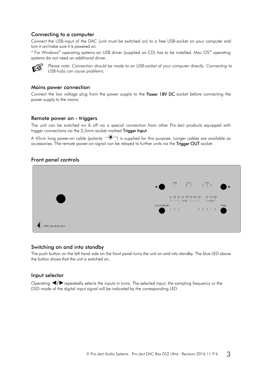## Connecting to a computer

Connect the USB-input of the DAC (unit must be switched on) to a free USB-socket on your computer and turn it on/make sure it is powered on.

\* For Windows® operating systems an USB driver (supplied on CD) has to be installed. Mac OS® operating systems do not need an additional driver.



*Please note: Connection should be made to an USB-socket of your computer directly. Connecting to USB-hubs can cause problems.*

#### Mains power connection

Connect the low voltage plug from the power supply to the Power 18V DC socket before connecting the power supply to the mains.

#### Remote power on - triggers

The unit can be switched on & off via a special connection from other Pro-Ject products equipped with trigger connections via the 2,5mm socket marked Trigger Input.

A 45cm long power-on cable (polarity  $\overline{-}$   $\overline{(-}$  +) is supplied for this purpose. Longer cables are available as accessories. The remote power-on signal can be relayed to further units via the Trigger OUT socket.

#### Front panel controls



#### Switching on and into standby

The push button on the left hand side on the front panel turns the unit on and into standby. The blue LED above the button shows that the unit is switched on.

#### Input selector

Operating ◄/►repeatedly selects the inputs in turns. The selected input, the sampling frequency or the DSD mode of the digital input signal will be indicated by the corresponding LED.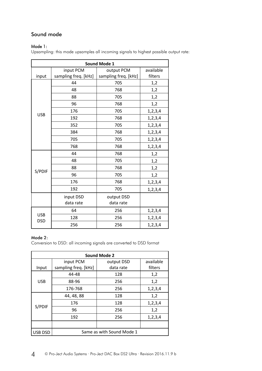# Sound mode

## Mode 1:

Upsampling: this mode upsamples all incoming signals to highest possible output rate:

| <b>Sound Mode 1</b>      |                      |                      |            |  |
|--------------------------|----------------------|----------------------|------------|--|
|                          | input PCM            | output PCM           | available  |  |
| input                    | sampling freq. [kHz] | sampling freq. [kHz] | filters    |  |
|                          | 44                   | 705                  | 1,2        |  |
|                          | 48                   | 768                  | 1,2        |  |
|                          | 88                   | 705                  | 1,2        |  |
|                          | 96                   | 768                  | 1,2        |  |
| <b>USB</b>               | 176                  | 705                  | 1,2,3,4    |  |
|                          | 192                  | 768                  | 1,2,3,4    |  |
|                          | 352                  | 705                  | 1,2,3,4    |  |
|                          | 384                  | 768                  | 1,2,3,4    |  |
|                          | 705                  | 705                  | 1, 2, 3, 4 |  |
|                          | 768                  | 768                  | 1,2,3,4    |  |
|                          | 44                   | 768                  | 1,2        |  |
|                          | 48                   | 705                  | 1,2        |  |
| S/PDIF                   | 88                   | 768                  | 1,2        |  |
|                          | 96                   | 705                  | 1,2        |  |
|                          | 176                  | 768                  | 1,2,3,4    |  |
|                          | 192                  | 705                  | 1, 2, 3, 4 |  |
|                          | input DSD            | output DSD           |            |  |
|                          | data rate            | data rate            |            |  |
|                          | 64                   | 256                  | 1,2,3,4    |  |
| <b>USB</b><br><b>DSD</b> | 128                  | 256                  | 1,2,3,4    |  |
|                          | 256                  | 256                  | 1, 2, 3, 4 |  |

#### Mode 2:

Conversion to DSD: all incoming signals are converted to DSD format

| <b>Sound Mode 2</b> |                      |                           |            |  |
|---------------------|----------------------|---------------------------|------------|--|
|                     | input PCM            | output DSD                | available  |  |
| Input               | sampling freq. [kHz] | data rate                 | filters    |  |
|                     | 44-48                | 128                       | 1,2        |  |
| <b>USB</b>          | 88-96                | 256                       | 1,2        |  |
|                     | 176-768              | 256                       | 1,2,3,4    |  |
|                     | 44, 48, 88           | 128                       | 1,2        |  |
|                     | 176                  | 128                       | 1, 2, 3, 4 |  |
| S/PDIF              | 96                   | 256                       | 1,2        |  |
|                     | 192                  | 256                       | 1, 2, 3, 4 |  |
|                     |                      |                           |            |  |
| USB DSD             |                      | Same as with Sound Mode 1 |            |  |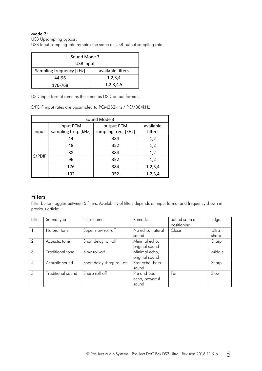#### Mode 3:

USB Upsampling bypass:

USB Input sampling rate remains the same as USB output sampling rate.

| Sound Mode 3             |                   |  |  |
|--------------------------|-------------------|--|--|
| USB input                |                   |  |  |
| Sampling frequency [kHz] | available filters |  |  |
| 44-96                    | 1,2,3,4           |  |  |
| 176-768                  | 1, 2, 3, 4, 5     |  |  |

DSD input format remains the same as DSD output format.

S/PDIF input rates are upsampled to PCM352kHz / PCM384kHz

| Sound Mode 3 |                      |                      |            |  |
|--------------|----------------------|----------------------|------------|--|
|              | input PCM            | output PCM           | available  |  |
| input        | sampling freq. [kHz] | sampling freq. [kHz] | filters    |  |
|              | 44                   | 384                  | 1,2        |  |
|              | 48                   | 352                  | 1,2        |  |
|              | 88                   | 384                  | 1,2        |  |
| S/PDIF       | 96                   | 352                  | 1,2        |  |
|              | 176                  | 384                  | 1, 2, 3, 4 |  |
|              | 192                  | 352                  | 1,2,3,4    |  |

# **Filters**

Filter button toggles between 5 filters. Availability of filters depends on input format and frequency shown in previous article:

| Filter         | Sound type        | Filter name                | Remarks          | Sound source | Edge   |
|----------------|-------------------|----------------------------|------------------|--------------|--------|
|                |                   |                            |                  | positioning  |        |
| $\overline{1}$ | Natural tone      | Super slow roll-off        | No echo, natural | Close        | Ultra  |
|                |                   |                            | sound            |              | sharp  |
| $\mathcal{P}$  | Acoustic tone     | Short delay roll-off       | Minimal echo,    |              | Sharp  |
|                |                   |                            | original sound   |              |        |
| 3              | Traditional tone  | Slow roll-off              | Minimal echo,    |              | Middle |
|                |                   |                            | original sound   |              |        |
| $\overline{4}$ | Acoustic sound    | Short delay sharp roll-off | Post echo, bass  |              | Sharp  |
|                |                   |                            | sound            |              |        |
| 5              | Traditional sound | Sharp roll-off             | Pre and post     | Far          | Slow   |
|                |                   |                            | echo, powerful   |              |        |
|                |                   |                            | sound            |              |        |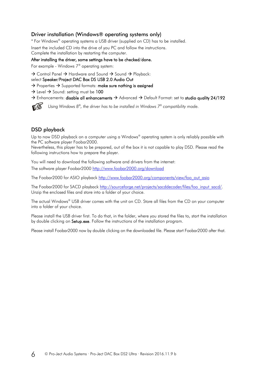# Driver installation (Windows® operating systems only)

\* For Windows® operating systems a USB driver (supplied on CD) has to be installed.

Insert the included CD into the drive of you PC and follow the instructions. Complete the installation by restarting the computer.

After installing the driver, some settings have to be checked/done.

For example - Windows 7® operating system:

 $\rightarrow$  Control Panel  $\rightarrow$  Hardware and Sound  $\rightarrow$  Sound  $\rightarrow$  Playback:

select Speaker/Project DAC Box DS USB 2.0 Audio Out

- $\rightarrow$  Properties  $\rightarrow$  Supported formats: make sure nothing is assigned
- $\rightarrow$  Level  $\rightarrow$  Sound: setting must be 100

 $\rightarrow$  Enhancements: disable all enhancements  $\rightarrow$  Advanced  $\rightarrow$  Default Format: set to studio quality 24/192



*Using Windows 8®, the driver has to be installed in Windows 7® compatibility mode.*

# DSD playback

Up to now DSD playback on a computer using a Windows® operating system is only reliably possible with the PC software player Foobar2000.

Nevertheless, this player has to be prepared, out of the box it is not capable to play DSD. Please read the following instructions how to prepare the player.

You will need to download the following software and drivers from the internet: The software player Foobar2000<http://www.foobar2000.org/download>

The Foobar2000 for ASIO playback [http://www.foobar2000.org/components/view/foo\\_out\\_asio](http://www.foobar2000.org/components/view/foo_out_asio)

The Foobar2000 for SACD playback [http://sourceforge.net/projects/sacddecoder/files/foo\\_input\\_sacd/.](http://sourceforge.net/projects/sacddecoder/files/foo_input_sacd/) Unzip the enclosed files and store into a folder of your choice.

The actual Windows® USB driver comes with the unit on CD. Store all files from the CD on your computer into a folder of your choice.

Please install the USB driver first. To do that, in the folder, where you stored the files to, start the installation by double clicking on **Setup.exe**. Follow the instructions of the installation program.

Please install Foobar2000 now by double clicking on the downloaded file. Please start Foobar2000 after that.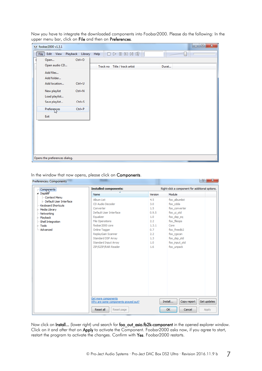|      | o foobar2000 v1.3.1                                                         |                  |                                                                   | $\mathbf{x}$<br>$\Box$<br><b>STEP</b> |
|------|-----------------------------------------------------------------------------|------------------|-------------------------------------------------------------------|---------------------------------------|
| File | Edit<br><b>View</b>                                                         | Playback Library | $Heip$ $\Box$ $D \quad \blacksquare$ $N \land N \quad \mathbb{R}$ |                                       |
|      | Open                                                                        | $Ctrl + O$       |                                                                   |                                       |
|      | Open audio CD                                                               |                  | Track no Title / track artist                                     | Durat                                 |
|      | Add files                                                                   |                  |                                                                   |                                       |
|      | Add folder                                                                  |                  |                                                                   |                                       |
|      | Add location                                                                | $Ctrl + U$       |                                                                   |                                       |
|      | New playlist                                                                | $Ctrl + N$       |                                                                   |                                       |
|      | Load playlist                                                               |                  |                                                                   |                                       |
|      | Save playlist                                                               | $Ctrl + S$       |                                                                   |                                       |
|      | $\begin{array}{c}\n \text{Prefere } \text{res}\n \\ \text{S}\n \end{array}$ | $Ctrl + P$       |                                                                   |                                       |
| Exit |                                                                             |                  |                                                                   |                                       |
|      |                                                                             |                  |                                                                   |                                       |
|      |                                                                             |                  |                                                                   |                                       |
|      |                                                                             |                  |                                                                   |                                       |
|      |                                                                             |                  |                                                                   |                                       |
|      |                                                                             |                  |                                                                   |                                       |
|      |                                                                             |                  |                                                                   |                                       |
|      | Opens the preferences dialog.                                               |                  |                                                                   |                                       |

Now you have to integrate the downloaded components into Foobar2000. Please do the following: In the upper menu bar, click on File and then on Preferences.

In the window that now opens, please click on Components.

| Components                                     | <b>Installed components:</b>                               |         | Right-click a component for additional options. |
|------------------------------------------------|------------------------------------------------------------|---------|-------------------------------------------------|
| ⊿ Display                                      | <b>Name</b>                                                | Version | Module                                          |
| - Context Menu                                 | Album List                                                 | 4.5     | foo albumlist                                   |
| <b>Default User Interface</b>                  | CD Audio Decoder                                           | 3.0     | foo cdda                                        |
| Keyboard Shortcuts                             | Converter                                                  | 1.5     | foo converter                                   |
| $\triangleright$ Media Library<br>- Networking | Default User Interface                                     | 0.9.5   | foo_ui_std                                      |
| <b>D</b> · Playback                            | Equalizer                                                  | 1.0     | foo dsp eq                                      |
| Shell Integration                              | <b>File Operations</b>                                     | 2.2     | foo fileops                                     |
| $\triangleright$ Tools                         | foobar 2000 core                                           | 1.3.1   | Core                                            |
| Advanced                                       | Online Tagger                                              | 0.7     | foo freedb2                                     |
|                                                | ReplayGain Scanner                                         | 2.2     | foo_rgscan                                      |
|                                                | Standard DSP Array                                         | 1.3     | foo dsp_std                                     |
|                                                | Standard Input Array                                       | 1.0     | foo input std                                   |
|                                                | ZIP/GZIP/RAR Reader                                        | 1.6     | foo_unpack                                      |
|                                                |                                                            |         |                                                 |
|                                                |                                                            |         |                                                 |
|                                                |                                                            |         |                                                 |
|                                                |                                                            |         |                                                 |
|                                                |                                                            |         |                                                 |
|                                                |                                                            |         |                                                 |
|                                                |                                                            |         |                                                 |
|                                                |                                                            |         |                                                 |
|                                                |                                                            |         |                                                 |
|                                                |                                                            |         |                                                 |
|                                                |                                                            |         |                                                 |
|                                                |                                                            |         |                                                 |
|                                                | Get more components<br>Why are some components grayed out? |         | Get updates<br>Install<br>Copy report           |
|                                                | Reset all<br>Reset page                                    |         | OK<br>Cancel<br>Apply                           |

Now click on Install... (lower right) und search for foo\_out\_asio.fb2k-component in the opened explorer window. Click on it and after that on Apply to activate the Component. Foobar2000 asks now, if you agree to start, restart the program to activate the changes. Confirm with Yes. Foobar2000 restarts.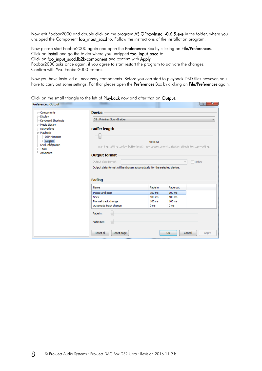Now exit Foobar2000 and double click on the program ASIOProxyInstall-0.6.5.exe in the folder, where you unzipped the Component foo input sacd to. Follow the instructions of the installation program.

Now please start Foobar2000 again and open the Preferences Box by clicking on File/Preferences. Click on Install and go the folder where you unzipped foo input sacd to. Click on foo\_input\_sacd.fb2k-component and confirm with Apply. Foobar2000 asks once again, if you agree to start restart the program to activate the changes. Confirm with Yes. Foobar2000 restarts.

Now you have installed all necessary components. Before you can start to playback DSD files however, you have to carry out some settings. For that please open the Preferences Box by clicking on File/Preferences again.

Click on the small triangle to the left of Playback now and after that on Output.

| Preferences: Output                    |                                                                                              |                 |                 | -8<br>$\mathbf{x}$ |
|----------------------------------------|----------------------------------------------------------------------------------------------|-----------------|-----------------|--------------------|
| - Components                           | <b>Device</b>                                                                                |                 |                 |                    |
| $\triangleright$ Display               |                                                                                              |                 |                 |                    |
| Keyboard Shortcuts                     | DS : Primärer Soundtreiber<br>▼                                                              |                 |                 |                    |
| $\triangleright$ Media Library         |                                                                                              |                 |                 |                    |
| - Networking<br><b>Buffer length</b>   |                                                                                              |                 |                 |                    |
| ⊿ Playback                             |                                                                                              |                 |                 |                    |
| DSP Manager<br>$\triangleright$ Output |                                                                                              |                 |                 |                    |
| Shell Integration                      |                                                                                              | 1000 ms         |                 |                    |
| $\triangleright$ Tools                 | Warning: setting too low buffer length may cause some visualization effects to stop working. |                 |                 |                    |
| - Advanced                             |                                                                                              |                 |                 |                    |
|                                        | <b>Output format</b>                                                                         |                 |                 |                    |
|                                        | Output data format:                                                                          |                 |                 | Dither             |
|                                        | Output data format will be chosen automatically for the selected device.                     |                 |                 |                    |
|                                        |                                                                                              |                 |                 |                    |
|                                        |                                                                                              |                 |                 |                    |
|                                        | <b>Fading</b>                                                                                |                 |                 |                    |
|                                        | Name                                                                                         | Fade in         | Fade out        |                    |
|                                        | Pause and stop                                                                               | 100 ms          | 100 ms          |                    |
|                                        | Seek                                                                                         | $100$ ms        | $100$ ms        |                    |
|                                        | Manual track change                                                                          | $100$ ms        | $100$ ms        |                    |
|                                        | Automatic track change                                                                       | 0 <sub>ms</sub> | 0 <sub>ms</sub> |                    |
|                                        | Fade in:                                                                                     |                 |                 |                    |
|                                        | Fade out:                                                                                    |                 |                 |                    |
|                                        |                                                                                              |                 |                 |                    |
|                                        | Reset all<br>Reset page                                                                      |                 | OK              | Cancel<br>Apply    |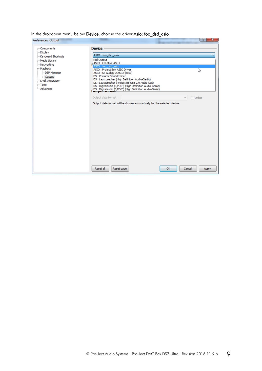In the dropdown menu below Device, choose the driver Asio: foo\_dsd\_asio.

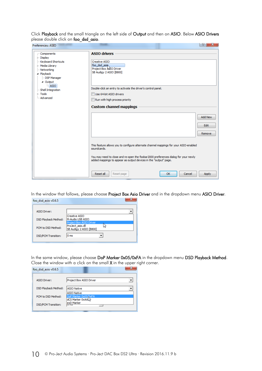Click Playback and the small triangle on the left side of Output and then on ASIO. Below ASIO Drivers please double click on foo\_dsd\_asio.

| Preferences: ASIO                                                                                            |                                                                                                                                                         | 왕<br>X.                |
|--------------------------------------------------------------------------------------------------------------|---------------------------------------------------------------------------------------------------------------------------------------------------------|------------------------|
| Components                                                                                                   | <b>ASIO drivers</b>                                                                                                                                     |                        |
| $\triangleright$ Display<br>Keyboard Shortcuts<br>Media Library<br>- Networking<br>⊿ Playback<br>DSP Manager | Creative ASTO<br>foo dsd asin<br>Project Box ASIO Driver<br>SB Audigy 2 ASIO [B800]                                                                     |                        |
| ⊿ Output<br><b>ASIO</b><br>Shell Integration<br>$\triangleright$ Tools<br>Advanced                           | Double-click an entry to activate the driver's control panel.<br>Use 64-bit ASIO drivers                                                                |                        |
|                                                                                                              | Run with high process priority<br><b>Custom channel mappings</b>                                                                                        |                        |
|                                                                                                              |                                                                                                                                                         | <b>Add New</b><br>Edit |
|                                                                                                              | This feature allows you to configure alternate channel mappings for your ASIO-enabled<br>soundcards.                                                    | Remove                 |
|                                                                                                              | You may need to close and re-open the foobar 2000 preferences dialog for your newly<br>added mappings to appear as output devices in the "output" page. |                        |
|                                                                                                              | Reset all<br>Reset page<br>OK<br>Cancel                                                                                                                 | Apply                  |

In the window that follows, please choose Project Box Asio Driver and in the dropdown menu ASIO Driver.

| foo dsd asio v0.6.5         |                                                                        |  |
|-----------------------------|------------------------------------------------------------------------|--|
| <b>ASIO Driver:</b>         |                                                                        |  |
| <b>DSD Playback Method:</b> | Creative ASIO<br>M-Audio USB ASIO                                      |  |
| PCM to DSD Method:          | Project Box ASIO Driver<br>ProJect asio.dll<br>SB Audigy 2 ASIO [B800] |  |
| <b>DSD/PCM Transition:</b>  | 0 <sub>ms</sub>                                                        |  |

In the same window, please choose DoP Marker 0x05/0xFA in the dropdown menu DSD Playback Method. Close the window with a click on the small X in the upper right corner.

| foo dsd asio v0.6.5         |                                          |
|-----------------------------|------------------------------------------|
| <b>ASIO Driver:</b>         | Project Box ASIO Driver                  |
| <b>DSD Playback Method:</b> | <b>ASIO Native</b><br><b>ASIO Native</b> |
| PCM to DSD Method:          | DoP Marker 0x05/0xFA                     |
| <b>DSD/PCM Transition:</b>  | exD Marker<br>णाण                        |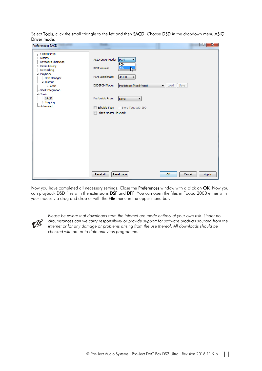Select Tools, click the small triangle to the left and then SACD. Choose DSD in the dropdown menu ASIO Driver mode.

|                                                                                                                                                                                                                                                                                                             |                                                                                                                                                                                                                                                                                                         | S <br>$\mathbf{x}$ |
|-------------------------------------------------------------------------------------------------------------------------------------------------------------------------------------------------------------------------------------------------------------------------------------------------------------|---------------------------------------------------------------------------------------------------------------------------------------------------------------------------------------------------------------------------------------------------------------------------------------------------------|--------------------|
| Preferences: SACD<br>- Components<br>$\triangleright$ $\cdot$ Display<br>Keyboard Shortcuts<br>$\triangleright$ -Media Library<br>Networking<br>a - Playback<br>- DSP Manager<br>4 Output<br><b>LASIO</b><br>Shell Integration<br>$\triangleleft$ - Tools<br>SACD<br>$\triangleright$ Tagging<br>- Advanced | <b>ASIO Driver Mode:</b><br>PCM<br><b>PCM</b><br><b>DSD</b><br>PCM Volume:<br>PCM Samplerate:<br>44100<br>v<br>Load Save<br>DSD 2PCM Mode:<br>Multistage (Fixed-Point)<br>۰<br>Preferable Area:<br>None<br>$\mathbf{r}$<br><b>Editable Tags</b><br>Store Tags With ISO<br><b>Edited Master Playback</b> |                    |
|                                                                                                                                                                                                                                                                                                             | <b>Resetall</b><br>Reset page<br><b>OK</b>                                                                                                                                                                                                                                                              | Apply<br>Cancel    |

Now you have completed all necessary settings. Close the Preferences window with a click on OK. Now you can playback DSD files with the extensions DSF and DFF. You can open the files in Foobar2000 either with your mouse via drag and drop or with the File menu in the upper menu bar.



*Please be aware that downloads from the Internet are made entirely at your own risk. Under no circumstances can we carry responsibility or provide support for software products sourced from the internet or for any damage or problems arising from the use thereof. All downloads should be checked with an up-to-date anti-virus programme.*